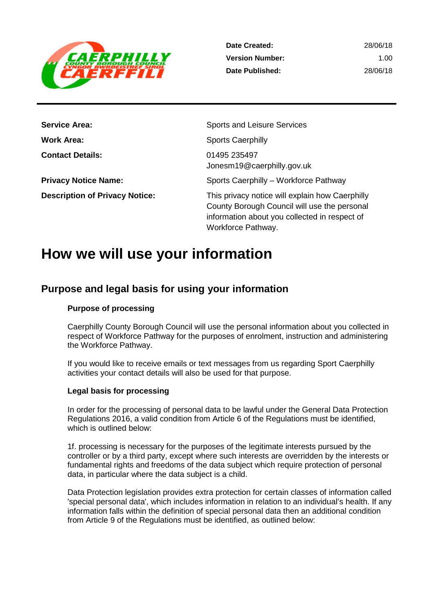

28/06/18 1.00 28/06/18

| <b>Service Area:</b>                  | Sports and Leisure Services                                                                                                                                            |
|---------------------------------------|------------------------------------------------------------------------------------------------------------------------------------------------------------------------|
| <b>Work Area:</b>                     | <b>Sports Caerphilly</b>                                                                                                                                               |
| <b>Contact Details:</b>               | 01495 235497<br>Jonesm19@caerphilly.gov.uk                                                                                                                             |
| <b>Privacy Notice Name:</b>           | Sports Caerphilly - Workforce Pathway                                                                                                                                  |
| <b>Description of Privacy Notice:</b> | This privacy notice will explain how Caerphilly<br>County Borough Council will use the personal<br>information about you collected in respect of<br>Workforce Pathway. |

# **How we will use your information**

## **Purpose and legal basis for using your information**

### **Purpose of processing**

Caerphilly County Borough Council will use the personal information about you collected in respect of Workforce Pathway for the purposes of enrolment, instruction and administering the Workforce Pathway.

If you would like to receive emails or text messages from us regarding Sport Caerphilly activities your contact details will also be used for that purpose.

#### **Legal basis for processing**

In order for the processing of personal data to be lawful under the General Data Protection Regulations 2016, a valid condition from Article 6 of the Regulations must be identified, which is outlined below:

1f. processing is necessary for the purposes of the legitimate interests pursued by the controller or by a third party, except where such interests are overridden by the interests or fundamental rights and freedoms of the data subject which require protection of personal data, in particular where the data subject is a child.

Data Protection legislation provides extra protection for certain classes of information called 'special personal data', which includes information in relation to an individual's health. If any information falls within the definition of special personal data then an additional condition from Article 9 of the Regulations must be identified, as outlined below: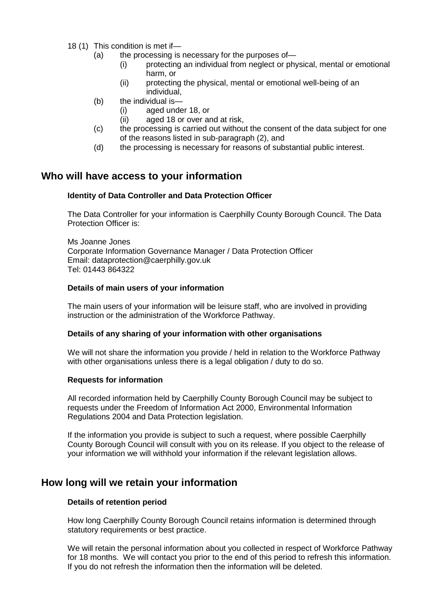- 18 (1) This condition is met if—
	- (a) the processing is necessary for the purposes of—
		- (i) protecting an individual from neglect or physical, mental or emotional harm, or
		- (ii) protecting the physical, mental or emotional well-being of an individual,
	- (b) the individual is—
		- (i) aged under 18, or
		- (ii) aged 18 or over and at risk,
	- (c) the processing is carried out without the consent of the data subject for one of the reasons listed in sub-paragraph (2), and
	- (d) the processing is necessary for reasons of substantial public interest.

## **Who will have access to your information**

#### **Identity of Data Controller and Data Protection Officer**

The Data Controller for your information is Caerphilly County Borough Council. The Data Protection Officer is:

Ms Joanne Jones Corporate Information Governance Manager / Data Protection Officer Email: dataprotection@caerphilly.gov.uk Tel: 01443 864322

#### **Details of main users of your information**

The main users of your information will be leisure staff, who are involved in providing instruction or the administration of the Workforce Pathway.

#### **Details of any sharing of your information with other organisations**

We will not share the information you provide / held in relation to the Workforce Pathway with other organisations unless there is a legal obligation / duty to do so.

#### **Requests for information**

All recorded information held by Caerphilly County Borough Council may be subject to requests under the Freedom of Information Act 2000, Environmental Information Regulations 2004 and Data Protection legislation.

If the information you provide is subject to such a request, where possible Caerphilly County Borough Council will consult with you on its release. If you object to the release of your information we will withhold your information if the relevant legislation allows.

## **How long will we retain your information**

#### **Details of retention period**

How long Caerphilly County Borough Council retains information is determined through statutory requirements or best practice.

We will retain the personal information about you collected in respect of Workforce Pathway for 18 months. We will contact you prior to the end of this period to refresh this information. If you do not refresh the information then the information will be deleted.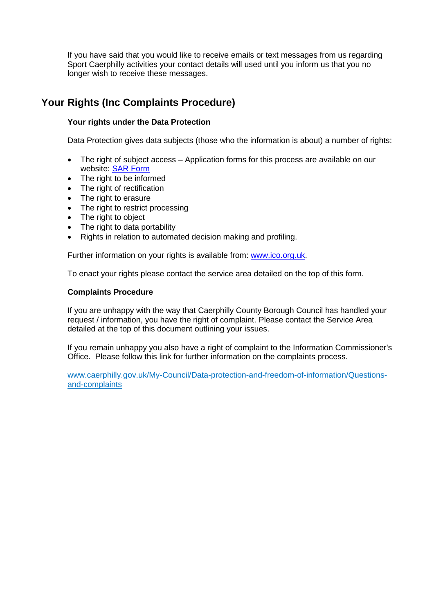If you have said that you would like to receive emails or text messages from us regarding Sport Caerphilly activities your contact details will used until you inform us that you no longer wish to receive these messages.

## **Your Rights (Inc Complaints Procedure)**

#### **Your rights under the Data Protection**

Data Protection gives data subjects (those who the information is about) a number of rights:

- The right of subject access Application forms for this process are available on our website: [SAR Form](http://www.caerphilly.gov.uk/CaerphillyDocs/Council-and-democracy/sar_form.aspx)
- The right to be informed
- The right of rectification
- The right to erasure
- The right to restrict processing
- The right to object
- The right to data portability
- Rights in relation to automated decision making and profiling.

Further information on your rights is available from: [www.ico.org.uk.](http://www.ico.org.uk/)

To enact your rights please contact the service area detailed on the top of this form.

#### **Complaints Procedure**

If you are unhappy with the way that Caerphilly County Borough Council has handled your request / information, you have the right of complaint. Please contact the Service Area detailed at the top of this document outlining your issues.

If you remain unhappy you also have a right of complaint to the Information Commissioner's Office. Please follow this link for further information on the complaints process.

[www.caerphilly.gov.uk/My-Council/Data-protection-and-freedom-of-information/Questions](http://www.caerphilly.gov.uk/My-Council/Data-protection-and-freedom-of-information/Questions-and-complaints)[and-complaints](http://www.caerphilly.gov.uk/My-Council/Data-protection-and-freedom-of-information/Questions-and-complaints)